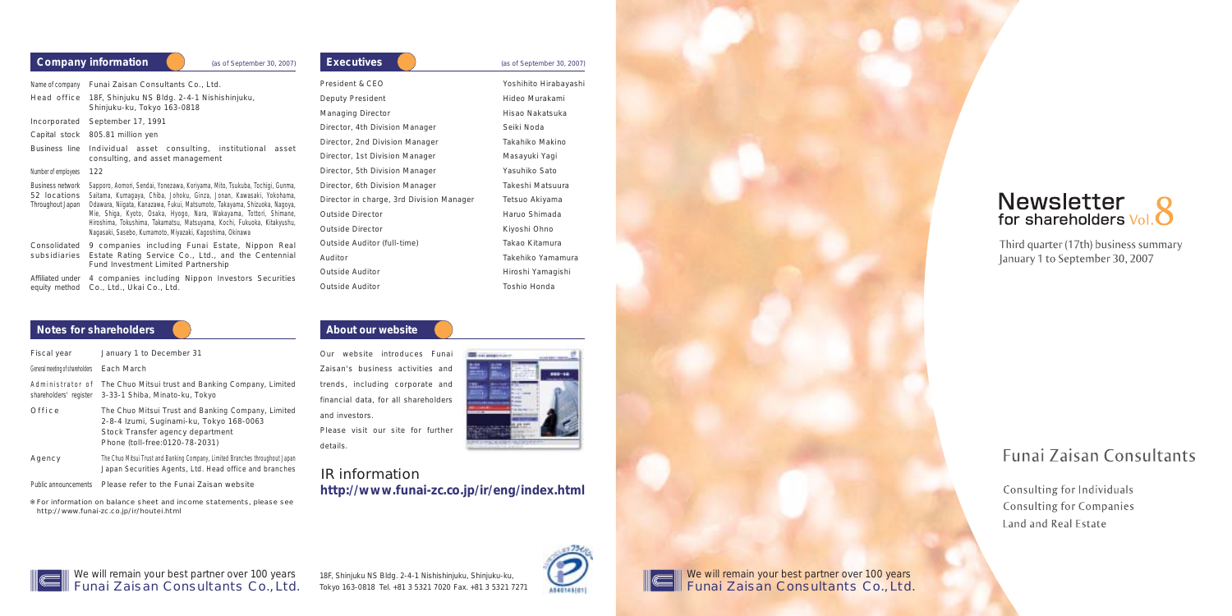Our website introduces Funai Zaisan's business activities and trends, including corporate and financial data, for all shareholders and investors. Please visit our site for further details.



### IR information **http://www.funai-zc.co.jp/ir/eng/index.html**



c

18F, Shinjuku NS Bldg. 2-4-1 Nishishinjuku, Shinjuku-ku, Tokyo 163-0818 Tel. +81 3 5321 7020 Fax. +81 3 5321 7271



# Newsletter<br>for shareholders Vol.<sup>8</sup>

Third quarter (17th) business summary January 1 to September 30, 2007

# **Funai Zaisan Consultants**

Consulting for Individuals **Consulting for Companies** Land and Real Estate

We will remain your best partner over 100 years Funai Zaisan Consultants Co., Ltd.



| Name of company                                             | Funai Zaisan Consultants Co., Ltd.                                                                                                                                                                                                                                                                                                                                                                                                           |  |  |  |  |
|-------------------------------------------------------------|----------------------------------------------------------------------------------------------------------------------------------------------------------------------------------------------------------------------------------------------------------------------------------------------------------------------------------------------------------------------------------------------------------------------------------------------|--|--|--|--|
| Head office                                                 | 18F, Shinjuku NS Bldg. 2-4-1 Nishishinjuku,<br>Shinjuku-ku, Tokyo 163-0818                                                                                                                                                                                                                                                                                                                                                                   |  |  |  |  |
| Incorporated                                                | September 17, 1991                                                                                                                                                                                                                                                                                                                                                                                                                           |  |  |  |  |
| Capital stock                                               | 805.81 million yen                                                                                                                                                                                                                                                                                                                                                                                                                           |  |  |  |  |
| Business line                                               | Individual asset consulting, institutional<br>asset<br>consulting, and asset management                                                                                                                                                                                                                                                                                                                                                      |  |  |  |  |
| Number of employees                                         | 122                                                                                                                                                                                                                                                                                                                                                                                                                                          |  |  |  |  |
| <b>Business network</b><br>52 locations<br>Throughout Japan | Sapporo, Aomori, Sendai, Yonezawa, Koriyama, Mito, Tsukuba, Tochigi, Gunma,<br>Saitama, Kumagaya, Chiba, Johoku, Ginza, Jonan, Kawasaki, Yokohama,<br>Odawara, Niigata, Kanazawa, Fukui, Matsumoto, Takayama, Shizuoka, Nagoya,<br>Mie, Shiga, Kyoto, Osaka, Hyogo, Nara, Wakayama, Tottori, Shimane,<br>Hiroshima, Tokushima, Takamatsu, Matsuyama, Kochi, Fukuoka, Kitakyushu,<br>Nagasaki, Sasebo, Kumamoto, Miyazaki, Kagoshima, Okinawa |  |  |  |  |
| Consolidated<br>subsidiaries                                | 9 companies including Funai Estate, Nippon Real<br>Estate Rating Service Co., Ltd., and the Centennial<br><b>Fund Investment Limited Partnership</b>                                                                                                                                                                                                                                                                                         |  |  |  |  |
| Affiliated under<br>equity method                           | 4 companies including Nippon Investors Securities<br>Co., Ltd., Ukai Co., Ltd.                                                                                                                                                                                                                                                                                                                                                               |  |  |  |  |

#### **Notes for shareholders About our website**

For information on balance sheet and income statements, please see http://www.funai-zc.co.jp/ir/houtei.html

| Company information |
|---------------------|
|                     |

**Company information** (as of September 30, 2007)

| Executives                               | (as of September 30, 2007) |
|------------------------------------------|----------------------------|
| President & CEO                          | Yoshihito Hirabayashi      |
| Deputy President                         | Hideo Murakami             |
| <b>Managing Director</b>                 | Hisao Nakatsuka            |
| Director, 4th Division Manager           | Seiki Noda                 |
| Director, 2nd Division Manager           | Takahiko Makino            |
| Director, 1st Division Manager           | Masayuki Yagi              |
| Director, 5th Division Manager           | Yasuhiko Sato              |
| Director, 6th Division Manager           | Takeshi Matsuura           |
| Director in charge, 3rd Division Manager | Tetsuo Akiyama             |
| Outside Director                         | Haruo Shimada              |
| <b>Outside Director</b>                  | Kiyoshi Ohno               |
| Outside Auditor (full-time)              | Takao Kitamura             |
| Auditor                                  | Takehiko Yamamura          |
| Outside Auditor                          | Hiroshi Yamagishi          |
| Outside Auditor                          | Toshio Honda               |

| Fiscal year                                | January 1 to December 31                                                                                                                                              |
|--------------------------------------------|-----------------------------------------------------------------------------------------------------------------------------------------------------------------------|
| General meeting of shareholders Each March |                                                                                                                                                                       |
|                                            | Administrator of The Chuo Mitsui trust and Banking Company, Limited<br>shareholders' register 3-33-1 Shiba, Minato-ku, Tokyo                                          |
| Office                                     | The Chuo Mitsui Trust and Banking Company, Limited<br>2-8-4 Izumi, Suginami-ku, Tokyo 168-0063<br>Stock Transfer agency department<br>Phone (toll-free: 0120-78-2031) |

Agency The Chuo Mitsui Trust and Banking Company, Limited Branches throughout Japan Japan Securities Agents, Ltd. Head office and branches

Public announcements Please refer to the Funai Zaisan website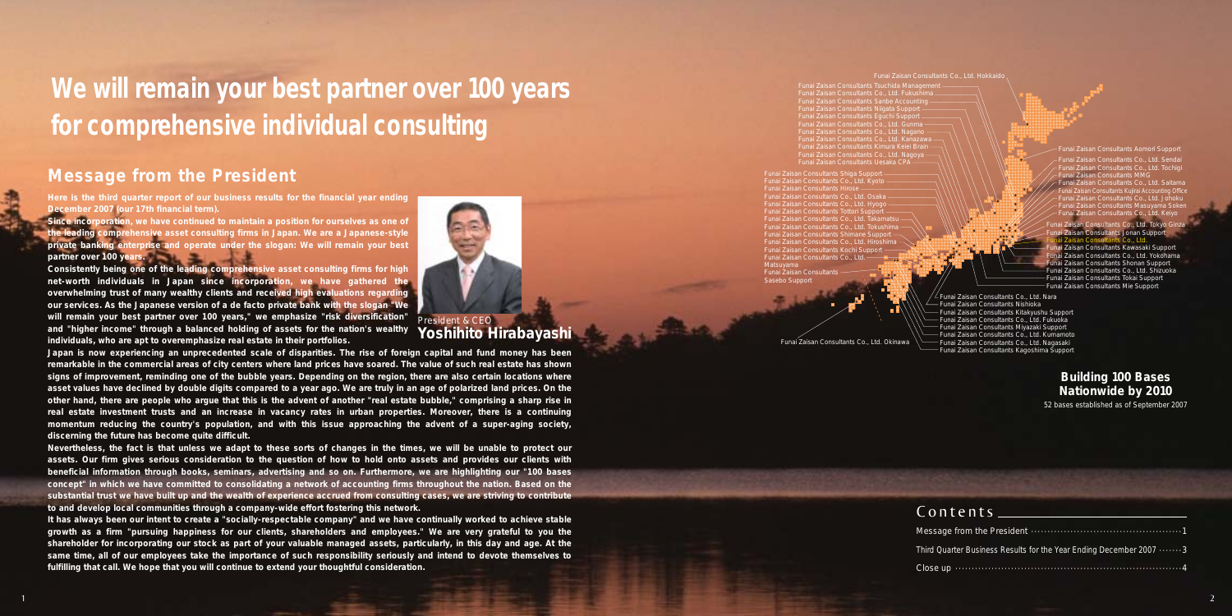## **Message from the President**

**Since incorporation, we have continued to maintain a position for ourselves as one of the leading comprehensive asset consulting firms in Japan. We are a Japanese-style private banking enterprise and operate under the slogan: We will remain your best**  partner over 100 year

**Here is the third quarter report of our business results for the financial year ending December 2007 (our 17th financial term).**

**Consistently being one of the leading comprehensive asset consulting firms for high net-worth individuals in Japan since incorporation, we have gathered the overwhelming trust of many wealthy clients and received high evaluations regarding our services. As the Japanese version of a de facto private bank with the slogan "We will remain your best partner over 100 years," we emphasize "risk diversification" and "higher income" through a balanced holding of assets for the nation's wealthy individuals, who are apt to overemphasize real estate in their portfolios.** 

**Japan is now experiencing an unprecedented scale of disparities. The rise of foreign capital and fund money has been remarkable in the commercial areas of city centers where land prices have soared. The value of such real estate has shown signs of improvement, reminding one of the bubble years. Depending on the region, there are also certain locations where asset values have declined by double digits compared to a year ago. We are truly in an age of polarized land prices. On the other hand, there are people who argue that this is the advent of another "real estate bubble," comprising a sharp rise in real estate investment trusts and an increase in vacancy rates in urban properties. Moreover, there is a continuing momentum reducing the country's population, and with this issue approaching the advent of a super-aging society, discerning the future has become quite difficult.**

Funai Zaisan Consultants Shiga Support Funai Zaisan Consultants Co., Ltd. Kyoto iisan Consultants Hiro<mark>:</mark><br>iisan Consultants Co Funai Zaisan Consultants Co., Ltd. Osaka Funai Zaisan Consultants Co., Ltd. Hyogo Funai Zaisan Consultants Tottori Support Funai Zaisan Consultants Shimane Support Funai Zaisan Consultants Co., Ltd. Hiroshima Funai Zaisan Consultants Kochi Support Funai Zaisan Consultants Co., Ltd. Matsuyama Funai Zaisan Consultar Sasebo Support

**Nevertheless, the fact is that unless we adapt to these sorts of changes in the times, we will be unable to protect our assets. Our firm gives serious consideration to the question of how to hold onto assets and provides our clients with beneficial information through books, seminars, advertising and so on. Furthermore, we are highlighting our "100 bases concept" in which we have committed to consolidating a network of accounting firms throughout the nation. Based on the substantial trust we have built up and the wealth of experience accrued from consulting cases, we are striving to contribute to and develop local communities through a company-wide effort fostering this network.**

**It has always been our intent to create a "socially-respectable company" and we have continually worked to achieve stable growth as a firm "pursuing happiness for our clients, shareholders and employees." We are very grateful to you the shareholder for incorporating our stock as part of your valuable managed assets, particularly, in this day and age. At the same time, all of our employees take the importance of such responsibility seriously and intend to devote themselves to fulfilling that call. We hope that you will continue to extend your thoughtful consideration.**

President & CEO **Yoshihito Hirabayashi**

# **We will remain your best partner over 100 years for comprehensive individual consulting**



Funai Zaisan Consultants Tsuchida Management Funai Zaisan Consultants Co., Ltd. Fukushima Funai Zaisan Consultants Sanbe Accounting Funai Zaisan Consultants Niigata Support unai Zaisan Consultants Eguchi Support -Funai Zaisan Consultants Co., Ltd. Nagano Funai Zaisan Consultants Co., Ltd. Kanazawa Funai Zaisan Consultants Kimura Keiei Brain Funai Zaisan Consultants Co., Ltd. Nagoya Funai Zaisan Consultants Uesaka CPA

Funai Zaisan Consultants Aomori Support Funai Zaisan Consultants Co., Ltd. Sendai Funai Zaisan Consultants Co., Ltd. Tochigi Funai Zaisan Consultants MMG Funai Zaisan Consultants Co., Ltd. Saitama nai Zaisan Consultants Kuiirai Accounting Office Funai Zaisan Consultants Co., Ltd. Johoku hai Zaisan Consultants Masuyama Soke Funai Zaisan Consultants Co., Ltd. Keiyo isan Consultants Co., Ltd. Tokyo Ginz **Zaisan Consultants Jonan Support**  $H = C_0$  Ltd. nai Zaisan Consultants Kawasaki Support Funai Zaisan Consultants Co., Ltd. Yokohama unai Zaisan Consultants Shonan Support Funai Zaisan Consultants Co., Ltd. Shizuoka Funai Zaisan Consultants Tokai Support Funai Zaisan Consultants Mie Support Funai Zaisan Consultants Co., Ltd. Nara Funai Zaisan Consultants Nishioka Funai Zaisan Consultants Kitakyushu Support

Funai Zaisan Consultants Co., Ltd. Fukuoka Funai Zaisan Consultants Miyazaki Support Funai Zaisan Consultants Co., Ltd. Kumamoto Funai Zaisan Consultants Co., Ltd. Nagasaki Funai Zaisan Consultants Kagoshima Support

Funai Zaisan Consultants Co., Ltd. Okinawa

Message from  $C$ onten

Third Quarter Bu

Close up  $\cdots$ ··

### **Building 100 Bases Nationwide by 2010**

52 bases established as of September 2007

| siness Results for the Year Ending December 2007 3 |
|----------------------------------------------------|
|                                                    |